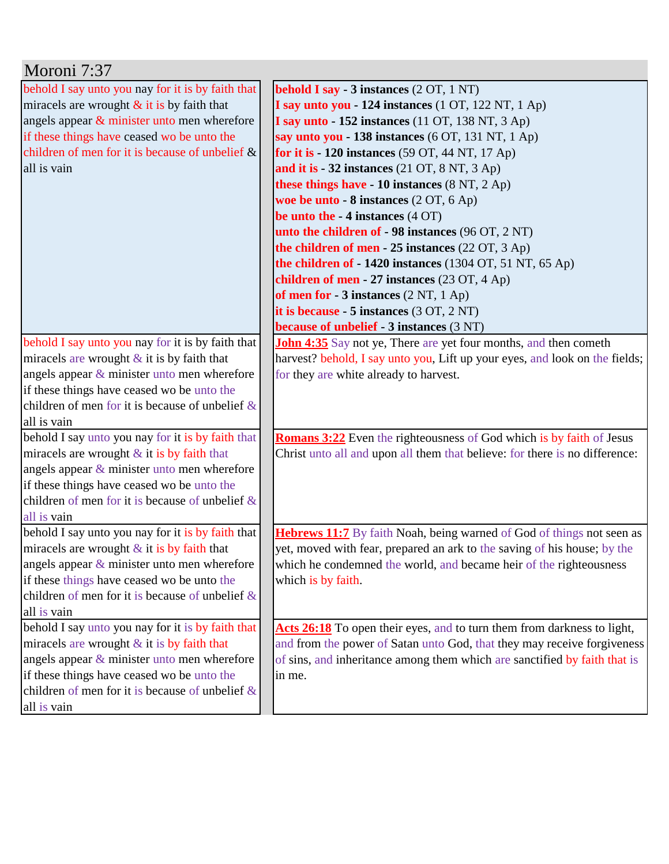| Moroni 7:37                                        |                                                                             |
|----------------------------------------------------|-----------------------------------------------------------------------------|
| behold I say unto you nay for it is by faith that  | <b>behold I say - 3 instances</b> (2 OT, 1 NT)                              |
| miracels are wrought $&$ it is by faith that       | I say unto you - 124 instances (1 OT, 122 NT, 1 Ap)                         |
| angels appear & minister unto men wherefore        | I say unto - 152 instances (11 OT, 138 NT, 3 Ap)                            |
| if these things have ceased wo be unto the         | say unto you - 138 instances (6 OT, 131 NT, 1 Ap)                           |
| children of men for it is because of unbelief $\&$ | for it is - 120 instances (59 OT, 44 NT, 17 Ap)                             |
| all is vain                                        | and it is $-32$ instances (21 OT, 8 NT, 3 Ap)                               |
|                                                    | these things have - 10 instances (8 NT, 2 Ap)                               |
|                                                    | woe be unto - 8 instances (2 OT, 6 Ap)                                      |
|                                                    | be unto the $-4$ instances $(4$ OT)                                         |
|                                                    | unto the children of - 98 instances (96 OT, 2 NT)                           |
|                                                    | the children of men - $25$ instances $(22 \text{ OT}, 3 \text{ Ap})$        |
|                                                    | the children of $-1420$ instances (1304 OT, 51 NT, 65 Ap)                   |
|                                                    | children of men - 27 instances (23 OT, 4 Ap)                                |
|                                                    | of men for $-3$ instances $(2 \text{ NT}, 1 \text{ Ap})$                    |
|                                                    | it is because - $5$ instances $(3 OT, 2 NT)$                                |
|                                                    | <b>because of unbelief - 3 instances (3 NT)</b>                             |
| behold I say unto you nay for it is by faith that  | <b>John 4:35</b> Say not ye, There are yet four months, and then cometh     |
| miracels are wrought $&$ it is by faith that       | harvest? behold, I say unto you, Lift up your eyes, and look on the fields; |
| angels appear $\&$ minister unto men wherefore     | for they are white already to harvest.                                      |
| if these things have ceased wo be unto the         |                                                                             |
| children of men for it is because of unbelief $\&$ |                                                                             |
| all is vain                                        |                                                                             |
| behold I say unto you nay for it is by faith that  | <b>Romans 3:22</b> Even the righteousness of God which is by faith of Jesus |
| miracels are wrought $&$ it is by faith that       | Christ unto all and upon all them that believe: for there is no difference: |
| angels appear $\&$ minister unto men wherefore     |                                                                             |
| if these things have ceased wo be unto the         |                                                                             |
| children of men for it is because of unbelief $\&$ |                                                                             |
| all is vain                                        |                                                                             |
| behold I say unto you nay for it is by faith that  | Hebrews 11:7 By faith Noah, being warned of God of things not seen as       |
| miracels are wrought $&$ it is by faith that       | yet, moved with fear, prepared an ark to the saving of his house; by the    |
| angels appear $\&$ minister unto men wherefore     | which he condemned the world, and became heir of the righteousness          |
| if these things have ceased wo be unto the         | which is by faith.                                                          |
| children of men for it is because of unbelief $\&$ |                                                                             |
| all is vain                                        |                                                                             |
| behold I say unto you nay for it is by faith that  | Acts 26:18 To open their eyes, and to turn them from darkness to light,     |
| miracels are wrought $&$ it is by faith that       | and from the power of Satan unto God, that they may receive forgiveness     |
| angels appear $\&$ minister unto men wherefore     | of sins, and inheritance among them which are sanctified by faith that is   |
| if these things have ceased wo be unto the         | in me.                                                                      |
| children of men for it is because of unbelief $\&$ |                                                                             |
| all is vain                                        |                                                                             |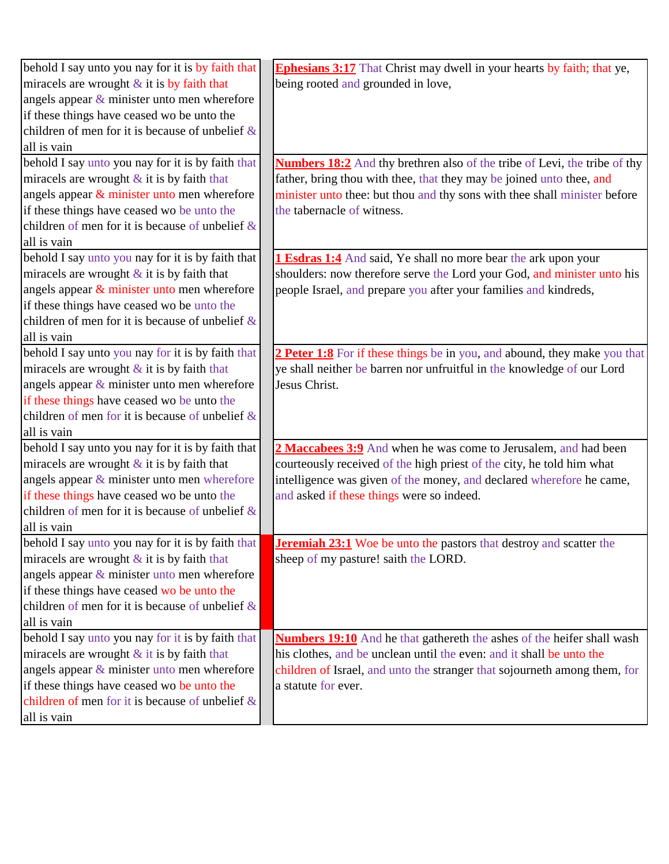| behold I say unto you nay for it is by faith that  | <b>Ephesians 3:17</b> That Christ may dwell in your hearts by faith; that ye,    |
|----------------------------------------------------|----------------------------------------------------------------------------------|
| miracels are wrought $&$ it is by faith that       | being rooted and grounded in love,                                               |
| angels appear $\&$ minister unto men wherefore     |                                                                                  |
| if these things have ceased wo be unto the         |                                                                                  |
| children of men for it is because of unbelief $\&$ |                                                                                  |
| all is vain                                        |                                                                                  |
| behold I say unto you nay for it is by faith that  | <b>Numbers 18:2</b> And thy brethren also of the tribe of Levi, the tribe of thy |
| miracels are wrought $&$ it is by faith that       | father, bring thou with thee, that they may be joined unto thee, and             |
| angels appear & minister unto men wherefore        | minister unto thee: but thou and thy sons with thee shall minister before        |
| if these things have ceased wo be unto the         | the tabernacle of witness.                                                       |
| children of men for it is because of unbelief $\&$ |                                                                                  |
| all is vain                                        |                                                                                  |
| behold I say unto you nay for it is by faith that  | <b>1 Esdras 1:4</b> And said, Ye shall no more bear the ark upon your            |
| miracels are wrought $&$ it is by faith that       | shoulders: now therefore serve the Lord your God, and minister unto his          |
| angels appear $&$ minister unto men wherefore      | people Israel, and prepare you after your families and kindreds,                 |
| if these things have ceased wo be unto the         |                                                                                  |
| children of men for it is because of unbelief $\&$ |                                                                                  |
| all is vain                                        |                                                                                  |
| behold I say unto you nay for it is by faith that  | 2 Peter 1:8 For if these things be in you, and abound, they make you that        |
| miracels are wrought $&$ it is by faith that       | ye shall neither be barren nor unfruitful in the knowledge of our Lord           |
| angels appear $\&$ minister unto men wherefore     | Jesus Christ.                                                                    |
| if these things have ceased wo be unto the         |                                                                                  |
| children of men for it is because of unbelief $\&$ |                                                                                  |
| all is vain                                        |                                                                                  |
| behold I say unto you nay for it is by faith that  | 2 Maccabees 3:9 And when he was come to Jerusalem, and had been                  |
| miracels are wrought $\&$ it is by faith that      | courteously received of the high priest of the city, he told him what            |
| angels appear $\&$ minister unto men wherefore     | intelligence was given of the money, and declared wherefore he came,             |
| if these things have ceased wo be unto the         | and asked if these things were so indeed.                                        |
| children of men for it is because of unbelief $\&$ |                                                                                  |
| all is vain                                        |                                                                                  |
| behold I say unto you nay for it is by faith that  | <b>Jeremiah 23:1</b> Woe be unto the pastors that destroy and scatter the        |
| miracels are wrought $&$ it is by faith that       | sheep of my pasture! saith the LORD.                                             |
| angels appear $\&$ minister unto men wherefore     |                                                                                  |
| if these things have ceased wo be unto the         |                                                                                  |
| children of men for it is because of unbelief $\&$ |                                                                                  |
| all is vain                                        |                                                                                  |
| behold I say unto you nay for it is by faith that  | <b>Numbers 19:10</b> And he that gathereth the ashes of the heifer shall wash    |
| miracels are wrought $&$ it is by faith that       | his clothes, and be unclean until the even: and it shall be unto the             |
| angels appear $\&$ minister unto men wherefore     | children of Israel, and unto the stranger that sojourneth among them, for        |
| if these things have ceased wo be unto the         | a statute for ever.                                                              |
| children of men for it is because of unbelief $\&$ |                                                                                  |
| all is vain                                        |                                                                                  |